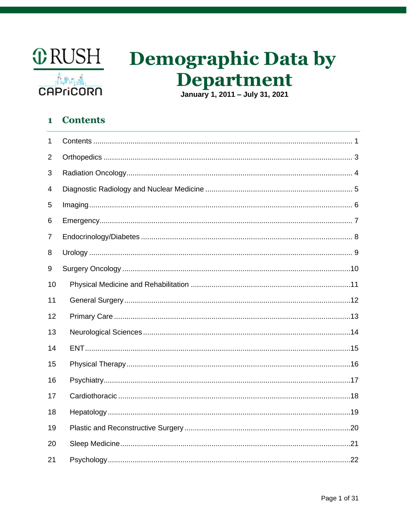

# **Demographic Data by** Department

### <span id="page-0-0"></span> $\mathbf{1}$ **Contents**

| $\mathbf{1}$ |  |
|--------------|--|
| 2            |  |
| 3            |  |
| 4            |  |
| 5            |  |
| 6            |  |
| 7            |  |
| 8            |  |
| 9            |  |
| 10           |  |
| 11           |  |
| 12           |  |
| 13           |  |
| 14           |  |
| 15           |  |
| 16           |  |
| 17           |  |
| 18           |  |
| 19           |  |
| 20           |  |
| 21           |  |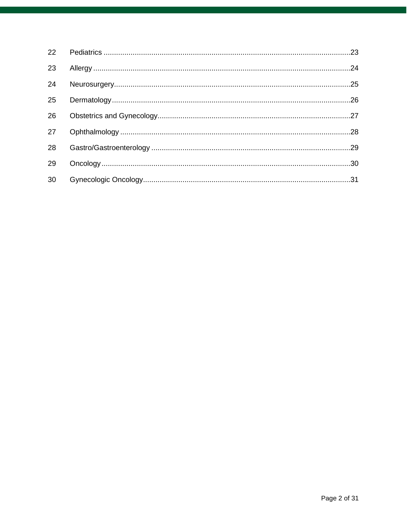| 23 |  |
|----|--|
|    |  |
| 24 |  |
| 25 |  |
| 26 |  |
| 27 |  |
| 28 |  |
| 29 |  |
| 30 |  |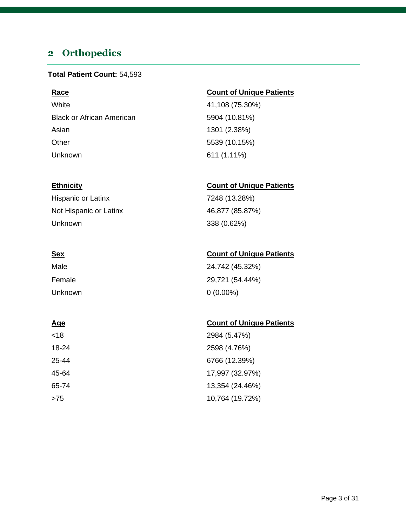## <span id="page-2-0"></span>**2 Orthopedics**

### **Total Patient Count:** 54,593

White 41,108 (75.30%) Black or African American 5904 (10.81%) Asian 1301 (2.38%) Other 5539 (10.15%) Unknown 611 (1.11%)

Hispanic or Latinx 7248 (13.28%) Not Hispanic or Latinx 46,877 (85.87%) Unknown 338 (0.62%)

## Male 24,742 (45.32%) Female 29,721 (54.44%) Unknown 0 (0.00%)

| <18   | 2984 (5.47%)    |
|-------|-----------------|
| 18-24 | 2598 (4.76%)    |
| 25-44 | 6766 (12.39%)   |
| 45-64 | 17,997 (32.97%) |
| 65-74 | 13,354 (24.46%) |
| >75   | 10,764 (19.72%) |

### **Race Count of Unique Patients**

### **Ethnicity Count of Unique Patients**

### **Sex Count of Unique Patients**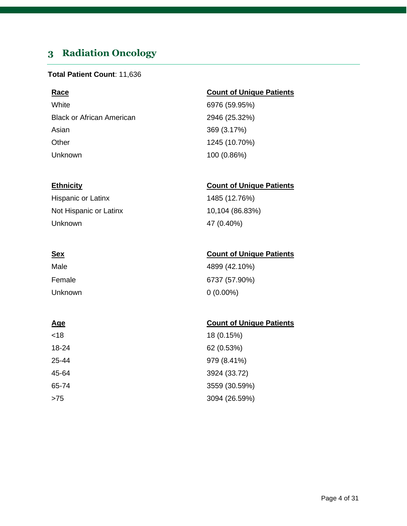## <span id="page-3-0"></span>**3 Radiation Oncology**

### **Total Patient Count**: 11,636

White 6976 (59.95%) Black or African American 2946 (25.32%) Asian 369 (3.17%) Other 1245 (10.70%) Unknown 100 (0.86%)

Hispanic or Latinx 1485 (12.76%) Not Hispanic or Latinx 10,104 (86.83%) Unknown 47 (0.40%)

| Male    | 4899 (42.10%) |
|---------|---------------|
| Female  | 6737 (57.90%) |
| Unknown | $0(0.00\%)$   |

| <18   | 18 (0.15%)    |
|-------|---------------|
| 18-24 | 62 (0.53%)    |
| 25-44 | 979 (8.41%)   |
| 45-64 | 3924 (33.72)  |
| 65-74 | 3559 (30.59%) |
| >75   | 3094 (26.59%) |

### **Race Count of Unique Patients**

### **Ethnicity Count of Unique Patients**

### **Sex Count of Unique Patients**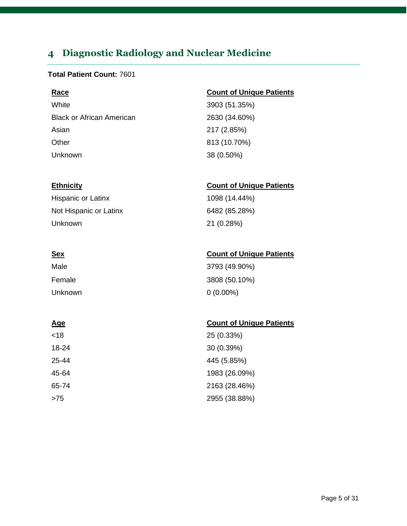## <span id="page-4-0"></span>**4 Diagnostic Radiology and Nuclear Medicine**

### **Total Patient Count:** 7601

White 3903 (51.35%) Black or African American 2630 (34.60%) Asian 217 (2.85%) Other 813 (10.70%) Unknown 38 (0.50%)

Hispanic or Latinx 1098 (14.44%) Not Hispanic or Latinx 6482 (85.28%) Unknown 21 (0.28%)

| Male    | 3793 (49.90%) |
|---------|---------------|
| Female  | 3808 (50.10%) |
| Unknown | $0(0.00\%)$   |

| <18   | 25 (0.33%)    |
|-------|---------------|
| 18-24 | 30 (0.39%)    |
| 25-44 | 445 (5.85%)   |
| 45-64 | 1983 (26.09%) |
| 65-74 | 2163 (28.46%) |
| >75   | 2955 (38.88%) |

### **Race Count of Unique Patients**

### **Ethnicity Count of Unique Patients**

### **Sex Count of Unique Patients**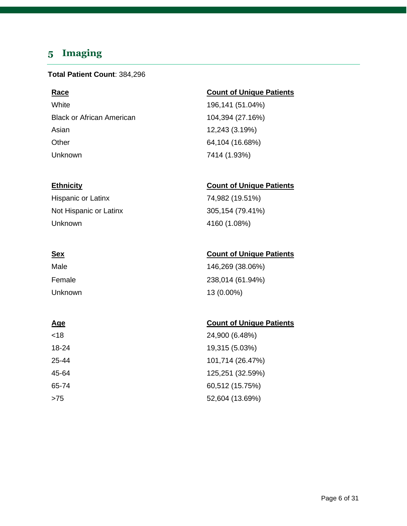## <span id="page-5-0"></span>**5 Imaging**

### **Total Patient Count**: 384,296

White 196,141 (51.04%) Black or African American 104,394 (27.16%) Asian 12,243 (3.19%) Other 64,104 (16.68%) Unknown 7414 (1.93%)

Hispanic or Latinx 74,982 (19.51%) Not Hispanic or Latinx 305,154 (79.41%) Unknown 4160 (1.08%)

## Male 146,269 (38.06%) Female 238,014 (61.94%) Unknown 13 (0.00%)

### **Age** Count of Unique Patients

| <18   | 24,900 (6.48%)   |
|-------|------------------|
| 18-24 | 19,315 (5.03%)   |
| 25-44 | 101,714 (26.47%) |
| 45-64 | 125,251 (32.59%) |
| 65-74 | 60,512 (15.75%)  |
| >75   | 52,604 (13.69%)  |

### **Race Count of Unique Patients**

### **Ethnicity Count of Unique Patients**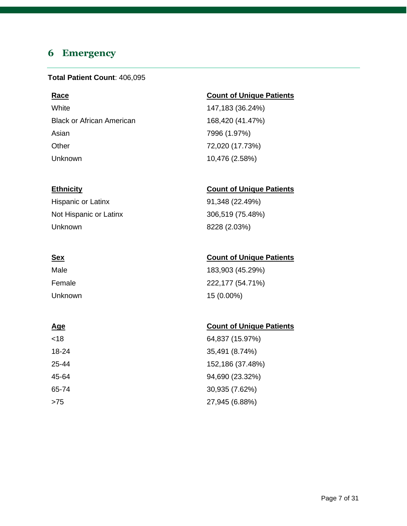## <span id="page-6-0"></span>**6 Emergency**

### **Total Patient Count**: 406,095

White 147,183 (36.24%) Black or African American 168,420 (41.47%) Asian 7996 (1.97%) Other 72,020 (17.73%) Unknown 10,476 (2.58%)

Hispanic or Latinx 91,348 (22.49%) Not Hispanic or Latinx 306,519 (75.48%) Unknown 8228 (2.03%)

Male 183,903 (45.29%) Female 222,177 (54.71%) Unknown 15 (0.00%)

<18 64,837 (15.97%) 18-24 35,491 (8.74%) 25-44 152,186 (37.48%) 45-64 94,690 (23.32%) 65-74 30,935 (7.62%) >75 27,945 (6.88%)

### **Race Count of Unique Patients**

### **Ethnicity Count of Unique Patients**

### **Sex Count of Unique Patients**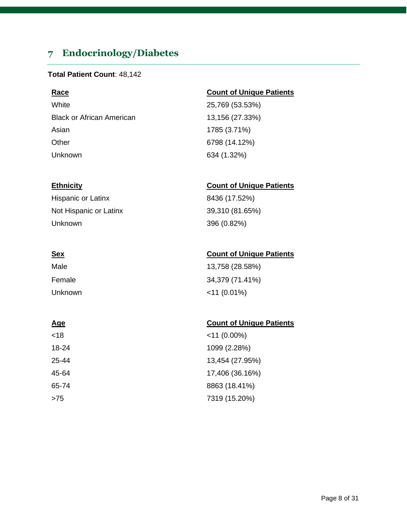## <span id="page-7-0"></span>**7 Endocrinology/Diabetes**

### **Total Patient Count**: 48,142

White 25,769 (53.53%) Black or African American 13,156 (27.33%) Asian 1785 (3.71%) Other 6798 (14.12%) Unknown 634 (1.32%)

Hispanic or Latinx 8436 (17.52%) Not Hispanic or Latinx 39,310 (81.65%) Unknown 396 (0.82%)

| Male    | 13,758 (28.58%) |
|---------|-----------------|
| Female  | 34,379 (71.41%) |
| Unknown | $<$ 11 (0.01%)  |

| <18   | $<$ 11 (0.00%)  |
|-------|-----------------|
| 18-24 | 1099 (2.28%)    |
| 25-44 | 13,454 (27.95%) |
| 45-64 | 17,406 (36.16%) |
| 65-74 | 8863 (18.41%)   |
| >75   | 7319 (15.20%)   |

### **Race Count of Unique Patients**

### **Ethnicity Count of Unique Patients**

### **Sex Count of Unique Patients**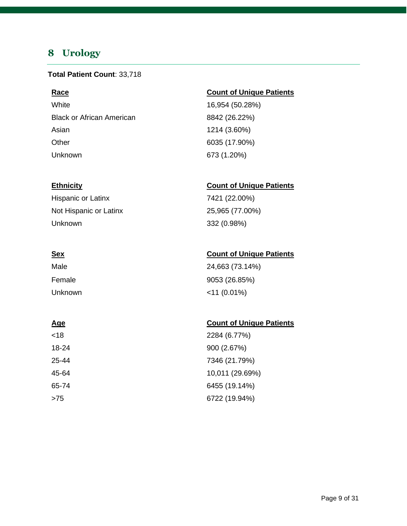## <span id="page-8-0"></span>**8 Urology**

### **Total Patient Count**: 33,718

White 16,954 (50.28%) Black or African American 8842 (26.22%) Asian 1214 (3.60%) Other 6035 (17.90%) Unknown 673 (1.20%)

Hispanic or Latinx 7421 (22.00%) Not Hispanic or Latinx 25,965 (77.00%) Unknown 332 (0.98%)

| Male    | 24,663 (73.14%) |
|---------|-----------------|
| Female  | 9053 (26.85%)   |
| Unknown | $<$ 11 (0.01%)  |

| <18   | 2284 (6.77%)    |
|-------|-----------------|
| 18-24 | 900 (2.67%)     |
| 25-44 | 7346 (21.79%)   |
| 45-64 | 10,011 (29.69%) |
| 65-74 | 6455 (19.14%)   |
| >75   | 6722 (19.94%)   |

### **Race Count of Unique Patients**

### **Ethnicity Count of Unique Patients**

### **Sex Count of Unique Patients**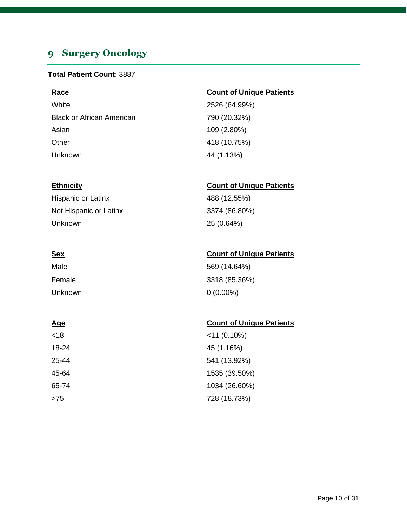## <span id="page-9-0"></span>**9 Surgery Oncology**

### **Total Patient Count**: 3887

| <b>Race</b>                      | <b>Count of Unique Patients</b> |
|----------------------------------|---------------------------------|
| White                            | 2526 (64.99%)                   |
| <b>Black or African American</b> | 790 (20.32%)                    |
| Asian                            | 109 (2.80%)                     |
| Other                            | 418 (10.75%)                    |
| Unknown                          | 44 (1.13%)                      |

### **Ethnicity Count of Unique Patients**

| Hispanic or Latinx     | 488 (12.55%)  |
|------------------------|---------------|
| Not Hispanic or Latinx | 3374 (86.80%) |
| Unknown                | 25 (0.64%)    |

| ٠<br>I |  |
|--------|--|
|        |  |

| <u>Sex</u> | <b>Count of Unique Patients</b> |
|------------|---------------------------------|
| Male       | 569 (14.64%)                    |
| Female     | 3318 (85.36%)                   |
| Unknown    | $0(0.00\%)$                     |

| <18   | $<$ 11 (0.10%) |
|-------|----------------|
| 18-24 | 45 (1.16%)     |
| 25-44 | 541 (13.92%)   |
| 45-64 | 1535 (39.50%)  |
| 65-74 | 1034 (26.60%)  |
| >75   | 728 (18.73%)   |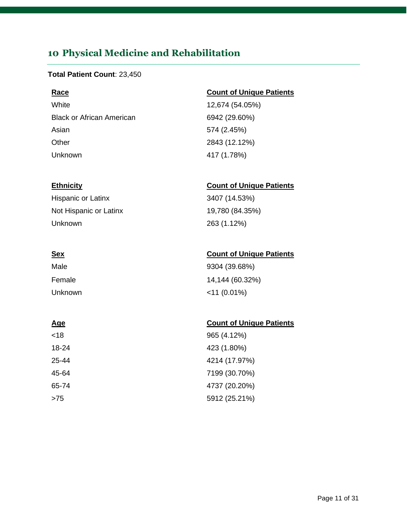## <span id="page-10-0"></span>**10 Physical Medicine and Rehabilitation**

### **Total Patient Count**: 23,450

White 12,674 (54.05%) Black or African American 6942 (29.60%) Asian 574 (2.45%) Other 2843 (12.12%) Unknown 417 (1.78%)

Hispanic or Latinx 3407 (14.53%) Not Hispanic or Latinx 19,780 (84.35%) Unknown 263 (1.12%)

## Male 9304 (39.68%) Female 14,144 (60.32%) Unknown <11 (0.01%)

### **Age Count of Unique Patients**

| <18   | 965 (4.12%)   |
|-------|---------------|
| 18-24 | 423 (1.80%)   |
| 25-44 | 4214 (17.97%) |
| 45-64 | 7199 (30.70%) |
| 65-74 | 4737 (20.20%) |
| >75   | 5912 (25.21%) |

### **Race Count of Unique Patients**

### **Ethnicity Count of Unique Patients**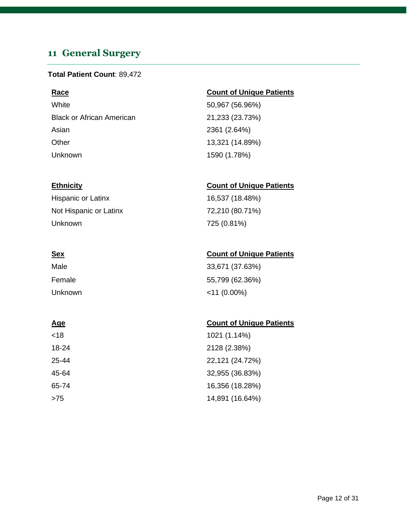## <span id="page-11-0"></span>**11 General Surgery**

### **Total Patient Count**: 89,472

White 50,967 (56.96%) Black or African American 21,233 (23.73%) Asian 2361 (2.64%) Other 13,321 (14.89%) Unknown 1590 (1.78%)

Hispanic or Latinx 16,537 (18.48%) Not Hispanic or Latinx 72,210 (80.71%) Unknown 725 (0.81%)

| Male    | 33,671 (37.63%) |
|---------|-----------------|
| Female  | 55,799 (62.36%) |
| Unknown | $<$ 11 (0.00%)  |

### **Age** Count of Unique Patients

| <18   | 1021 (1.14%)    |
|-------|-----------------|
| 18-24 | 2128 (2.38%)    |
| 25-44 | 22,121 (24.72%) |
| 45-64 | 32,955 (36.83%) |
| 65-74 | 16,356 (18.28%) |
| >75   | 14,891 (16.64%) |

### **Race Count of Unique Patients**

### **Ethnicity Count of Unique Patients**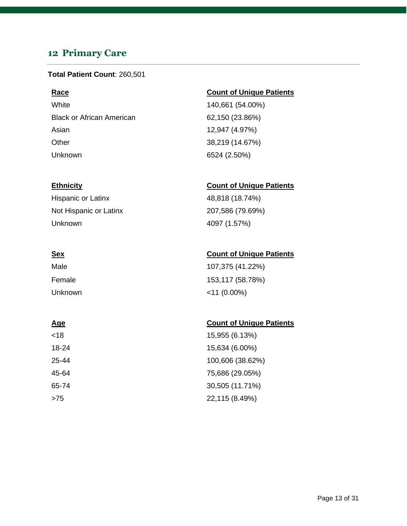## <span id="page-12-0"></span>**12 Primary Care**

### **Total Patient Count**: 260,501

White 140,661 (54.00%) Black or African American 62,150 (23.86%) Asian 12,947 (4.97%) Other 38,219 (14.67%) Unknown 6524 (2.50%)

Hispanic or Latinx 48,818 (18.74%) Not Hispanic or Latinx 207,586 (79.69%) Unknown 4097 (1.57%)

| Male    | 107,375 (41.22%) |
|---------|------------------|
| Female  | 153,117 (58.78%) |
| Unknown | $<$ 11 (0.00%)   |

### **Age** Count of Unique Patients

| <18   | 15,955 (6.13%)   |
|-------|------------------|
| 18-24 | 15,634 (6.00%)   |
| 25-44 | 100,606 (38.62%) |
| 45-64 | 75,686 (29.05%)  |
| 65-74 | 30,505 (11.71%)  |
| >75   | 22,115 (8.49%)   |

### **Race Count of Unique Patients**

### **Ethnicity Count of Unique Patients**

### **Sex Count of Unique Patients**

### Page 13 of 31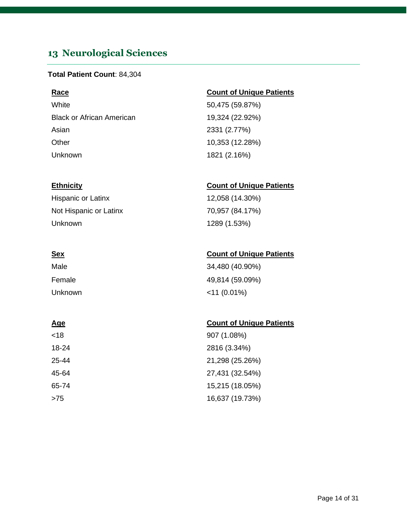## <span id="page-13-0"></span>**13 Neurological Sciences**

### **Total Patient Count**: 84,304

White 50,475 (59.87%) Black or African American 19,324 (22.92%) Asian 2331 (2.77%) Other 10,353 (12.28%) Unknown 1821 (2.16%)

### **Race Count of Unique Patients**

### **Ethnicity Count of Unique Patients**

Hispanic or Latinx 12,058 (14.30%) Not Hispanic or Latinx 70,957 (84.17%) Unknown 1289 (1.53%)

### **Sex Count of Unique Patients**

| Male    | 34,480 (40.90%) |
|---------|-----------------|
| Female  | 49,814 (59.09%) |
| Unknown | $<$ 11 (0.01%)  |

| <18   | 907 (1.08%)     |
|-------|-----------------|
| 18-24 | 2816 (3.34%)    |
| 25-44 | 21,298 (25.26%) |
| 45-64 | 27,431 (32.54%) |
| 65-74 | 15,215 (18.05%) |
| >75   | 16,637 (19.73%) |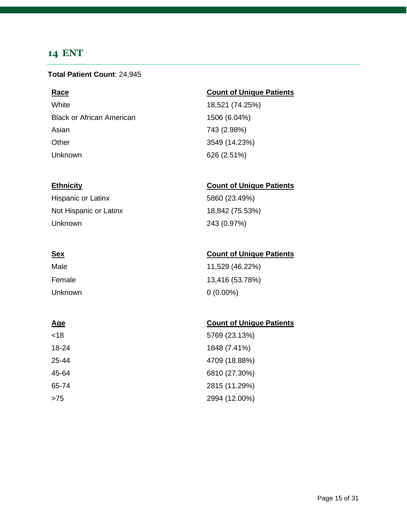### <span id="page-14-0"></span>**14 ENT**

### **Total Patient Count**: 24,945

White 18,521 (74.25%) Black or African American 1506 (6.04%) Asian 743 (2.98%) Other 3549 (14.23%) Unknown 626 (2.51%)

Hispanic or Latinx 5860 (23.49%) Not Hispanic or Latinx 18,842 (75.53%) Unknown 243 (0.97%)

| Male    | 11,529 (46.22%) |
|---------|-----------------|
| Female  | 13,416 (53.78%) |
| Unknown | $0(0.00\%)$     |

| <18   | 5769 (23.13%) |
|-------|---------------|
| 18-24 | 1848 (7.41%)  |
| 25-44 | 4709 (18.88%) |
| 45-64 | 6810 (27.30%) |
| 65-74 | 2815 (11.29%) |
| >75   | 2994 (12.00%) |

### **Race Count of Unique Patients**

### **Ethnicity Count of Unique Patients**

### **Sex Count of Unique Patients**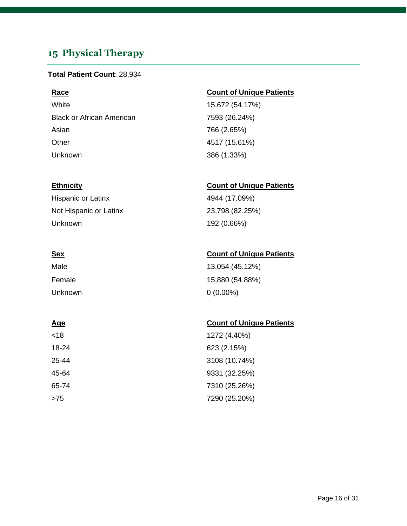## <span id="page-15-0"></span>**15 Physical Therapy**

### **Total Patient Count**: 28,934

White 15,672 (54.17%) Black or African American 7593 (26.24%) Asian 766 (2.65%) Other 4517 (15.61%) Unknown 386 (1.33%)

Hispanic or Latinx 4944 (17.09%) Not Hispanic or Latinx 23,798 (82.25%) Unknown 192 (0.66%)

| Male    | 13,054 (45.12%) |
|---------|-----------------|
| Female  | 15,880 (54.88%) |
| Unknown | $0(0.00\%)$     |

| <18   | 1272 (4.40%)  |
|-------|---------------|
| 18-24 | 623 (2.15%)   |
| 25-44 | 3108 (10.74%) |
| 45-64 | 9331 (32.25%) |
| 65-74 | 7310 (25.26%) |
| >75   | 7290 (25.20%) |

### **Race Count of Unique Patients**

### **Ethnicity Count of Unique Patients**

### **Sex Count of Unique Patients**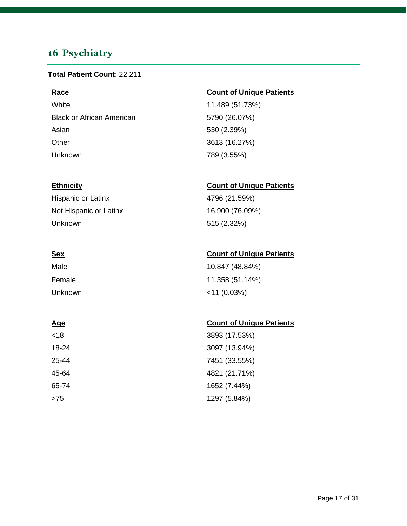## <span id="page-16-0"></span>**16 Psychiatry**

### **Total Patient Count**: 22,211

White 11,489 (51.73%) Black or African American 6790 (26.07%) Asian 530 (2.39%) Other 3613 (16.27%) Unknown 789 (3.55%)

Hispanic or Latinx 4796 (21.59%) Not Hispanic or Latinx 16,900 (76.09%) Unknown 515 (2.32%)

| Male    | 10,847 (48.84%) |
|---------|-----------------|
| Female  | 11,358 (51.14%) |
| Unknown | $<$ 11 (0.03%)  |

### **Age** Count of Unique Patients

| <18   | 3893 (17.53%) |
|-------|---------------|
| 18-24 | 3097 (13.94%) |
| 25-44 | 7451 (33.55%) |
| 45-64 | 4821 (21.71%) |
| 65-74 | 1652 (7.44%)  |
| >75   | 1297 (5.84%)  |

### **Race Count of Unique Patients**

### **Ethnicity Count of Unique Patients**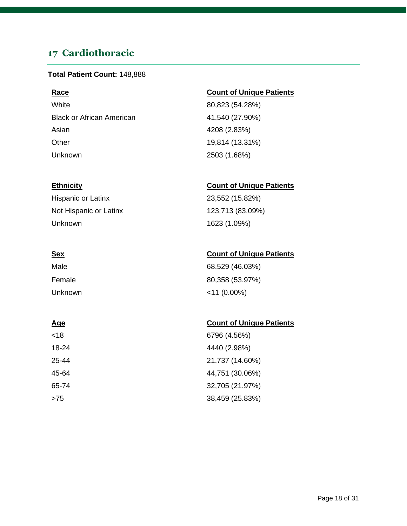## <span id="page-17-0"></span>**17 Cardiothoracic**

### **Total Patient Count:** 148,888

White 80,823 (54.28%) Black or African American 41,540 (27.90%) Asian 4208 (2.83%) Other 19,814 (13.31%) Unknown 2503 (1.68%)

Hispanic or Latinx 23,552 (15.82%) Not Hispanic or Latinx 123,713 (83.09%) Unknown 1623 (1.09%)

| Male    | 68,529 (46.03%) |
|---------|-----------------|
| Female  | 80,358 (53.97%) |
| Unknown | $<$ 11 (0.00%)  |

### **Age** Count of Unique Patients

| <18   | 6796 (4.56%)    |
|-------|-----------------|
| 18-24 | 4440 (2.98%)    |
| 25-44 | 21,737 (14.60%) |
| 45-64 | 44,751 (30.06%) |
| 65-74 | 32,705 (21.97%) |
| >75   | 38,459 (25.83%) |

### **Race Count of Unique Patients**

### **Ethnicity Count of Unique Patients**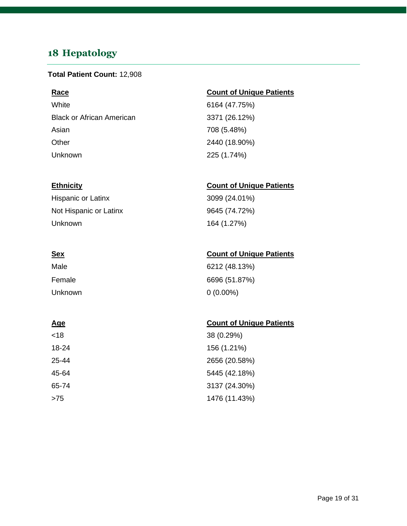## <span id="page-18-0"></span>**18 Hepatology**

### **Total Patient Count:** 12,908

White 6164 (47.75%) Black or African American 3371 (26.12%) Asian 708 (5.48%) Other 2440 (18.90%) Unknown 225 (1.74%)

Hispanic or Latinx 3099 (24.01%) Not Hispanic or Latinx 9645 (74.72%) Unknown 164 (1.27%)

| Male    | 6212 (48.13%) |
|---------|---------------|
| Female  | 6696 (51.87%) |
| Unknown | $0(0.00\%)$   |

| <18   | 38 (0.29%)    |
|-------|---------------|
| 18-24 | 156 (1.21%)   |
| 25-44 | 2656 (20.58%) |
| 45-64 | 5445 (42.18%) |
| 65-74 | 3137 (24.30%) |
| >75   | 1476 (11.43%) |

### **Race Count of Unique Patients**

### **Ethnicity Count of Unique Patients**

### **Sex Count of Unique Patients**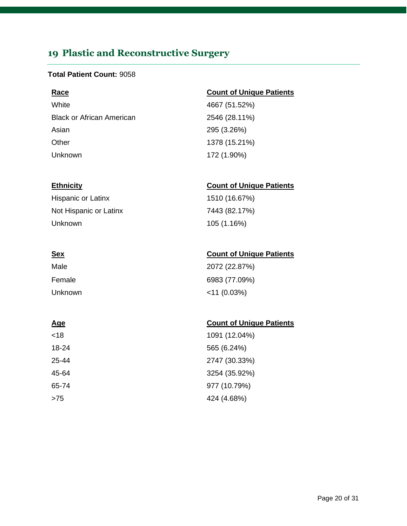## <span id="page-19-0"></span>**19 Plastic and Reconstructive Surgery**

### **Total Patient Count:** 9058

White 4667 (51.52%) Black or African American 2546 (28.11%) Asian 295 (3.26%) Other 1378 (15.21%) Unknown 172 (1.90%)

Hispanic or Latinx 1510 (16.67%) Not Hispanic or Latinx 7443 (82.17%) Unknown 105 (1.16%)

| Male    | 2072 (22.87%)  |
|---------|----------------|
| Female  | 6983 (77.09%)  |
| Unknown | $<$ 11 (0.03%) |

| <18   | 1091 (12.04%) |
|-------|---------------|
| 18-24 | 565 (6.24%)   |
| 25-44 | 2747 (30.33%) |
| 45-64 | 3254 (35.92%) |
| 65-74 | 977 (10.79%)  |
| >75   | 424 (4.68%)   |

### **Race Count of Unique Patients**

### **Ethnicity Count of Unique Patients**

### **Sex Count of Unique Patients**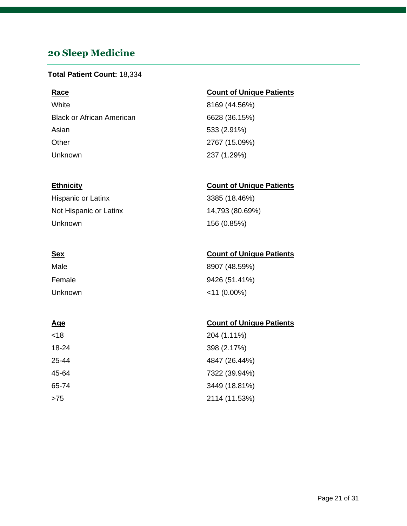## <span id="page-20-0"></span>**20 Sleep Medicine**

### **Total Patient Count:** 18,334

White 8169 (44.56%) Black or African American 6628 (36.15%) Asian 533 (2.91%) Other 2767 (15.09%) Unknown 237 (1.29%)

Hispanic or Latinx 3385 (18.46%) Not Hispanic or Latinx 14,793 (80.69%) Unknown 156 (0.85%)

| Male    | 8907 (48.59%)  |
|---------|----------------|
| Female  | 9426 (51.41%)  |
| Unknown | $<$ 11 (0.00%) |

| <18   | 204 (1.11%)   |
|-------|---------------|
| 18-24 | 398 (2.17%)   |
| 25-44 | 4847 (26.44%) |
| 45-64 | 7322 (39.94%) |
| 65-74 | 3449 (18.81%) |
| >75   | 2114 (11.53%) |

### **Race Count of Unique Patients**

### **Ethnicity Count of Unique Patients**

### **Sex Count of Unique Patients**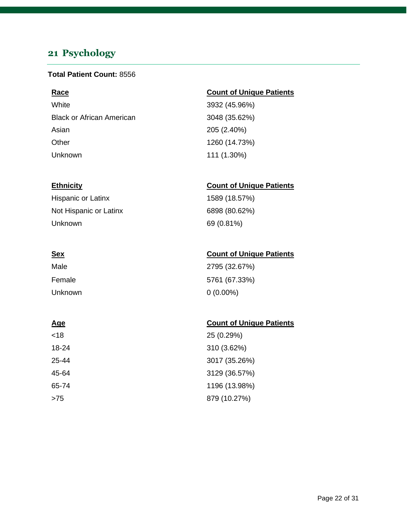## <span id="page-21-0"></span>**21 Psychology**

### **Total Patient Count:** 8556

White 3932 (45.96%) Black or African American 3048 (35.62%) Asian 205 (2.40%) Other 1260 (14.73%) Unknown 111 (1.30%)

Hispanic or Latinx 1589 (18.57%) Not Hispanic or Latinx 6898 (80.62%) Unknown 69 (0.81%)

| Male    | 2795 (32.67%) |
|---------|---------------|
| Female  | 5761 (67.33%) |
| Unknown | $0(0.00\%)$   |

### **Age** Count of Unique Patients

| <18   | 25 (0.29%)    |
|-------|---------------|
| 18-24 | 310 (3.62%)   |
| 25-44 | 3017 (35.26%) |
| 45-64 | 3129 (36.57%) |
| 65-74 | 1196 (13.98%) |
| >75   | 879 (10.27%)  |

### **Race Count of Unique Patients**

### **Ethnicity Count of Unique Patients**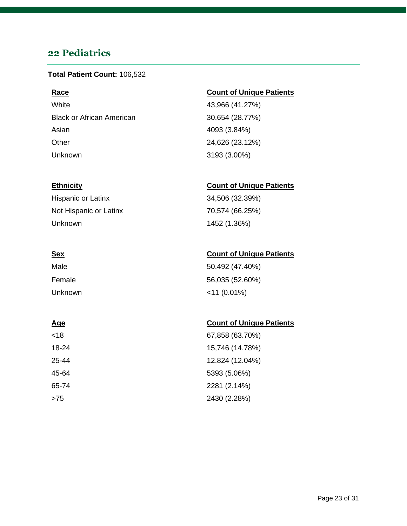## <span id="page-22-0"></span>**22 Pediatrics**

### **Total Patient Count:** 106,532

White 43,966 (41.27%) Black or African American 30,654 (28.77%) Asian 4093 (3.84%) Other 24,626 (23.12%) Unknown 3193 (3.00%)

### **Race Count of Unique Patients**

### **Ethnicity Count of Unique Patients**

Hispanic or Latinx 34,506 (32.39%) Not Hispanic or Latinx 70,574 (66.25%) Unknown 1452 (1.36%)

| Male    | 50,492 (47.40%) |
|---------|-----------------|
| Female  | 56,035 (52.60%) |
| Unknown | $<$ 11 (0.01%)  |

| <18   | 67,858 (63.70%) |
|-------|-----------------|
| 18-24 | 15,746 (14.78%) |
| 25-44 | 12,824 (12.04%) |
| 45-64 | 5393 (5.06%)    |
| 65-74 | 2281 (2.14%)    |
| >75   | 2430 (2.28%)    |

### **Sex Count of Unique Patients**

| 67,858 (63.70%) |
|-----------------|
| 15,746 (14.78%) |
| 12,824 (12.04%) |
| 5393 (5.06%)    |
| 2281 (2.14%)    |
| 2430 (2.28%)    |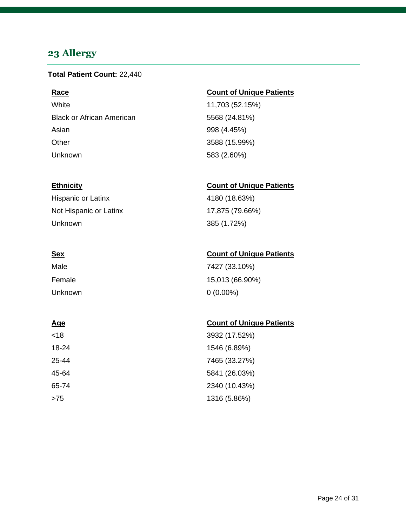## <span id="page-23-0"></span>**23 Allergy**

### **Total Patient Count:** 22,440

White 11,703 (52.15%) Black or African American 6568 (24.81%) Asian 998 (4.45%) Other 3588 (15.99%) Unknown 583 (2.60%)

Hispanic or Latinx 4180 (18.63%) Not Hispanic or Latinx 17,875 (79.66%) Unknown 385 (1.72%)

| Male    | 7427 (33.10%)   |
|---------|-----------------|
| Female  | 15,013 (66.90%) |
| Unknown | $0(0.00\%)$     |

### **Age** Count of Unique Patients

| <18   | 3932 (17.52%) |
|-------|---------------|
| 18-24 | 1546 (6.89%)  |
| 25-44 | 7465 (33.27%) |
| 45-64 | 5841 (26.03%) |
| 65-74 | 2340 (10.43%) |
| >75   | 1316 (5.86%)  |

### **Race Count of Unique Patients**

### **Ethnicity Count of Unique Patients**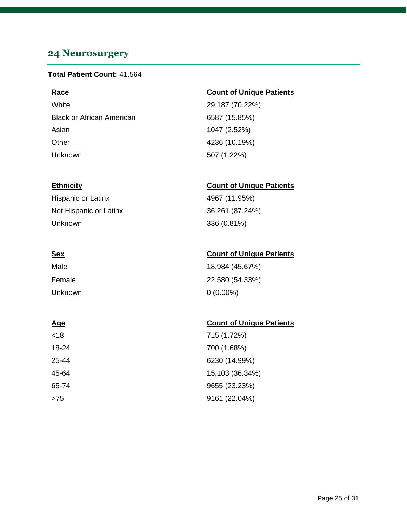## <span id="page-24-0"></span>**24 Neurosurgery**

### **Total Patient Count:** 41,564

White 29,187 (70.22%) Black or African American 6587 (15.85%) Asian 1047 (2.52%) Other 4236 (10.19%) Unknown 507 (1.22%)

Hispanic or Latinx 4967 (11.95%) Not Hispanic or Latinx 36,261 (87.24%) Unknown 336 (0.81%)

| Male    | 18,984 (45.67%) |
|---------|-----------------|
| Female  | 22,580 (54.33%) |
| Unknown | $0(0.00\%)$     |

### **Age** Count of Unique Patients

| <18   | 715 (1.72%)     |
|-------|-----------------|
| 18-24 | 700 (1.68%)     |
| 25-44 | 6230 (14.99%)   |
| 45-64 | 15,103 (36.34%) |
| 65-74 | 9655 (23.23%)   |
| >75   | 9161 (22.04%)   |

### **Race Count of Unique Patients**

### **Ethnicity Count of Unique Patients**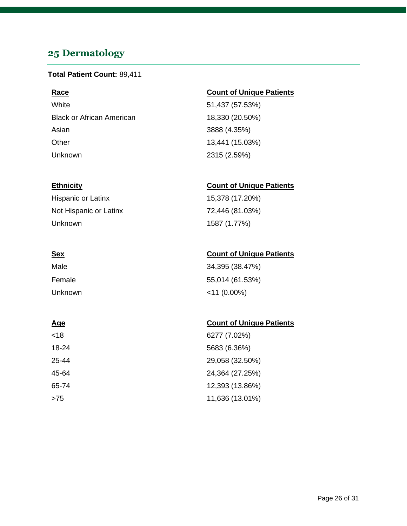## <span id="page-25-0"></span>**25 Dermatology**

### **Total Patient Count:** 89,411

White 51,437 (57.53%) Black or African American 18,330 (20.50%) Asian 3888 (4.35%) Other 13,441 (15.03%) Unknown 2315 (2.59%)

Hispanic or Latinx 15,378 (17.20%) Not Hispanic or Latinx 72,446 (81.03%) Unknown 1587 (1.77%)

| Male    | 34,395 (38.47%) |
|---------|-----------------|
| Female  | 55,014 (61.53%) |
| Unknown | $<$ 11 (0.00%)  |

### **Age** Count of Unique Patients

| <18   | 6277 (7.02%)    |
|-------|-----------------|
| 18-24 | 5683 (6.36%)    |
| 25-44 | 29,058 (32.50%) |
| 45-64 | 24,364 (27.25%) |
| 65-74 | 12,393 (13.86%) |
| >75   | 11,636 (13.01%) |

### **Race Count of Unique Patients**

### **Ethnicity Count of Unique Patients**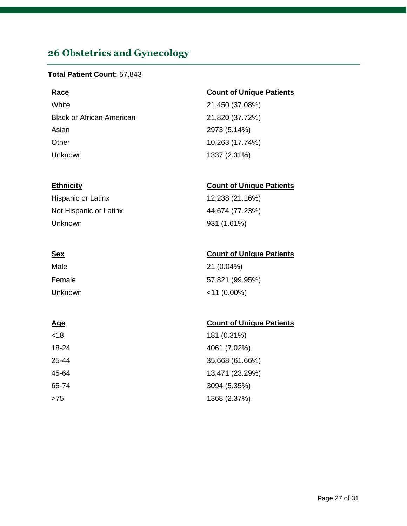## <span id="page-26-0"></span>**26 Obstetrics and Gynecology**

### **Total Patient Count:** 57,843

White 21,450 (37.08%) Black or African American 21,820 (37.72%) Asian 2973 (5.14%) Other 10,263 (17.74%) Unknown 1337 (2.31%)

Hispanic or Latinx 12,238 (21.16%) Not Hispanic or Latinx 44,674 (77.23%) Unknown 931 (1.61%)

| Male    | 21 (0.04%)      |
|---------|-----------------|
| Female  | 57,821 (99.95%) |
| Unknown | $<$ 11 (0.00%)  |

| <18   | 181 (0.31%)     |
|-------|-----------------|
| 18-24 | 4061 (7.02%)    |
| 25-44 | 35,668 (61.66%) |
| 45-64 | 13,471 (23.29%) |
| 65-74 | 3094 (5.35%)    |
| >75   | 1368 (2.37%)    |

### **Race Count of Unique Patients**

### **Ethnicity Count of Unique Patients**

### **Sex Count of Unique Patients**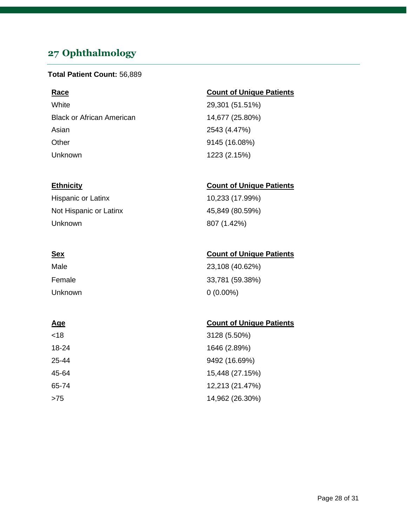## <span id="page-27-0"></span>**27 Ophthalmology**

### **Total Patient Count:** 56,889

White 29,301 (51.51%) Black or African American 14,677 (25.80%) Asian 2543 (4.47%) Other 9145 (16.08%) Unknown 1223 (2.15%)

Hispanic or Latinx 10,233 (17.99%) Not Hispanic or Latinx 45,849 (80.59%) Unknown 807 (1.42%)

## Male 23,108 (40.62%) Female 33,781 (59.38%) Unknown 0 (0.00%)

| <18   | 3128 (5.50%)    |
|-------|-----------------|
| 18-24 | 1646 (2.89%)    |
| 25-44 | 9492 (16.69%)   |
| 45-64 | 15,448 (27.15%) |
| 65-74 | 12,213 (21.47%) |
| >75   | 14,962 (26.30%) |

### **Race Count of Unique Patients**

### **Ethnicity Count of Unique Patients**

### **Sex Count of Unique Patients**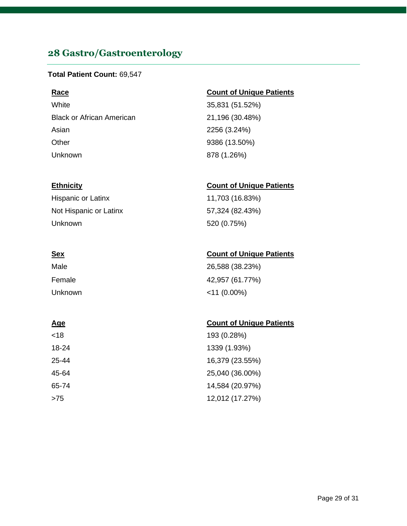## <span id="page-28-0"></span>**28 Gastro/Gastroenterology**

### **Total Patient Count:** 69,547

White 35,831 (51.52%) Black or African American 21,196 (30.48%) Asian 2256 (3.24%) Other 9386 (13.50%) Unknown 878 (1.26%)

Hispanic or Latinx 11,703 (16.83%) Not Hispanic or Latinx 57,324 (82.43%) Unknown 520 (0.75%)

## Male 26,588 (38.23%) Female 42,957 (61.77%) Unknown <11 (0.00%)

| <18   | 193 (0.28%)     |
|-------|-----------------|
| 18-24 | 1339 (1.93%)    |
| 25-44 | 16,379 (23.55%) |
| 45-64 | 25,040 (36.00%) |
| 65-74 | 14,584 (20.97%) |
| >75   | 12,012 (17.27%) |

### **Race Count of Unique Patients**

### **Ethnicity Count of Unique Patients**

### **Sex Count of Unique Patients**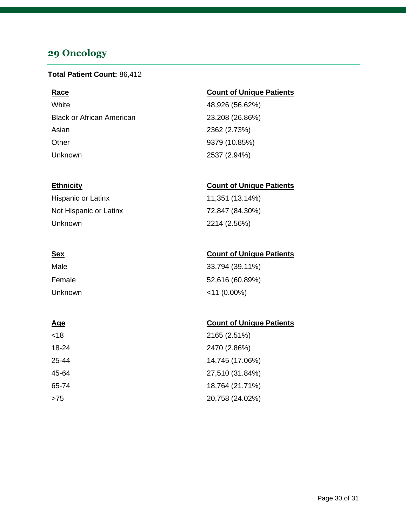## <span id="page-29-0"></span>**29 Oncology**

### **Total Patient Count:** 86,412

White 48,926 (56.62%) Black or African American 23,208 (26.86%) Asian 2362 (2.73%) Other 9379 (10.85%) Unknown 2537 (2.94%)

Hispanic or Latinx 11,351 (13.14%) Not Hispanic or Latinx 72,847 (84.30%) Unknown 2214 (2.56%)

| Male    | 33,794 (39.11%) |
|---------|-----------------|
| Female  | 52,616 (60.89%) |
| Unknown | $<$ 11 (0.00%)  |

| <18   | 2165 (2.51%)    |
|-------|-----------------|
| 18-24 | 2470 (2.86%)    |
| 25-44 | 14,745 (17.06%) |
| 45-64 | 27,510 (31.84%) |
| 65-74 | 18,764 (21.71%) |
| >75   | 20,758 (24.02%) |

### **Race Count of Unique Patients**

### **Ethnicity Count of Unique Patients**

### **Sex Count of Unique Patients**